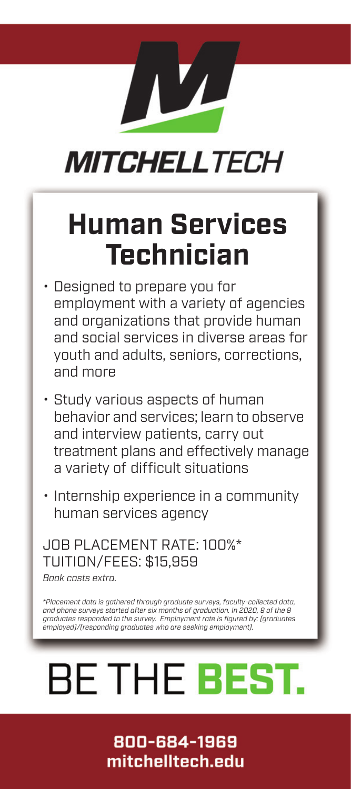## **MITCHELLTECH**

## **Human Services Technician**

- Designed to prepare you for employment with a variety of agencies and organizations that provide human and social services in diverse areas for youth and adults, seniors, corrections, and more
- Study various aspects of human behavior and services; learn to observe and interview patients, carry out treatment plans and effectively manage a variety of difficult situations
- Internship experience in a community human services agency

### JOB PLACEMENT RATE: 100%\* TUITION/FEES: \$15,959

*Book costs extra.*

*\*Placement data is gathered through graduate surveys, faculty-collected data, and phone surveys started after six months of graduation. In 2020, 9 of the 9 graduates responded to the survey. Employment rate is figured by: (graduates employed)/(responding graduates who are seeking employment).*

# **BE THE BEST.**

### 800-684-1969 mitchelltech.edu